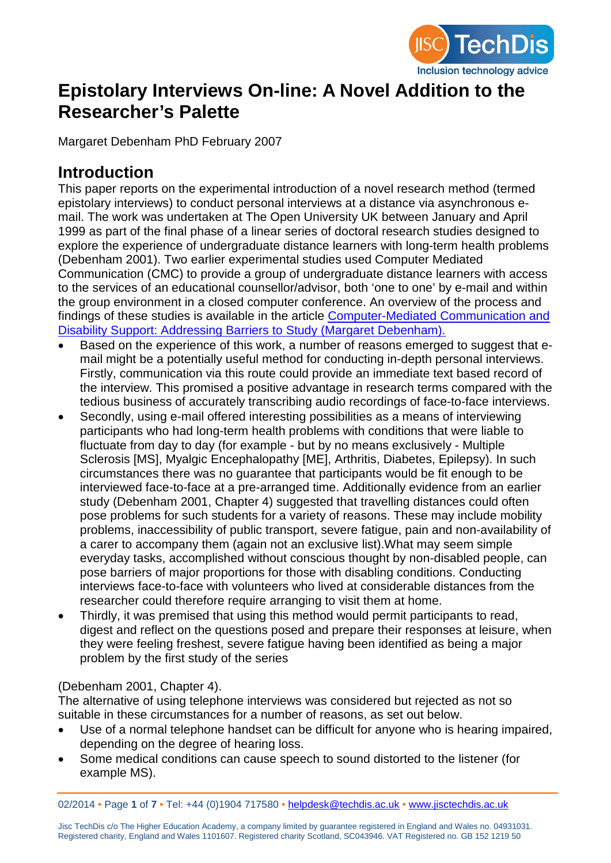

# **Epistolary Interviews On-line: A Novel Addition to the Researcher's Palette**

Margaret Debenham PhD February 2007

### **Introduction**

This paper reports on the experimental introduction of a novel research method (termed epistolary interviews) to conduct personal interviews at a distance via asynchronous email. The work was undertaken at The Open University UK between January and April 1999 as part of the final phase of a linear series of doctoral research studies designed to explore the experience of undergraduate distance learners with long-term health problems (Debenham 2001). Two earlier experimental studies used Computer Mediated Communication (CMC) to provide a group of undergraduate distance learners with access to the services of an educational counsellor/advisor, both 'one to one' by e-mail and within the group environment in a closed computer conference. An overview of the process and findings of these studies is available in the article [Computer-Mediated Communication and](http://www.jisctechdis.ac.uk/techdis/resources/detail/Computer_Mediated_Communication)  [Disability Support: Addressing Barriers to Study \(Margaret Debenham\).](http://www.jisctechdis.ac.uk/techdis/resources/detail/Computer_Mediated_Communication)

- Based on the experience of this work, a number of reasons emerged to suggest that email might be a potentially useful method for conducting in-depth personal interviews. Firstly, communication via this route could provide an immediate text based record of the interview. This promised a positive advantage in research terms compared with the tedious business of accurately transcribing audio recordings of face-to-face interviews.
- Secondly, using e-mail offered interesting possibilities as a means of interviewing participants who had long-term health problems with conditions that were liable to fluctuate from day to day (for example - but by no means exclusively - Multiple Sclerosis [MS], Myalgic Encephalopathy [ME], Arthritis, Diabetes, Epilepsy). In such circumstances there was no guarantee that participants would be fit enough to be interviewed face-to-face at a pre-arranged time. Additionally evidence from an earlier study (Debenham 2001, Chapter 4) suggested that travelling distances could often pose problems for such students for a variety of reasons. These may include mobility problems, inaccessibility of public transport, severe fatigue, pain and non-availability of a carer to accompany them (again not an exclusive list).What may seem simple everyday tasks, accomplished without conscious thought by non-disabled people, can pose barriers of major proportions for those with disabling conditions. Conducting interviews face-to-face with volunteers who lived at considerable distances from the researcher could therefore require arranging to visit them at home.
- Thirdly, it was premised that using this method would permit participants to read, digest and reflect on the questions posed and prepare their responses at leisure, when they were feeling freshest, severe fatigue having been identified as being a major problem by the first study of the series

#### (Debenham 2001, Chapter 4).

The alternative of using telephone interviews was considered but rejected as not so suitable in these circumstances for a number of reasons, as set out below.

- Use of a normal telephone handset can be difficult for anyone who is hearing impaired, depending on the degree of hearing loss.
- Some medical conditions can cause speech to sound distorted to the listener (for example MS).

02/2014 **•** Page **1** of **7 •** Tel: +44 (0)1904 717580 **•** [helpdesk@techdis.ac.uk](mailto:helpdesk@techdis.ac.uk) **•** [www.jisctechdis.ac.uk](http://www.jisctechdis.ac.uk/)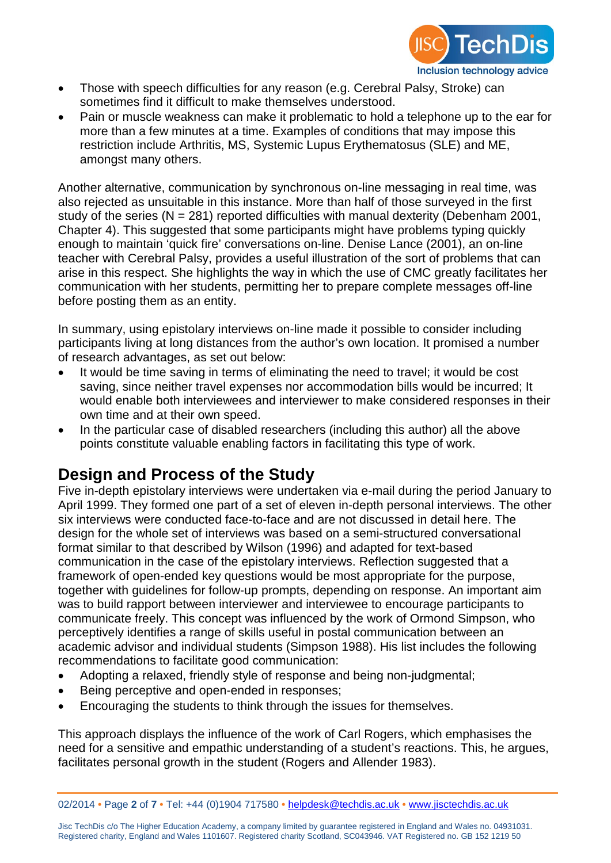

- Those with speech difficulties for any reason (e.g. Cerebral Palsy, Stroke) can sometimes find it difficult to make themselves understood.
- Pain or muscle weakness can make it problematic to hold a telephone up to the ear for more than a few minutes at a time. Examples of conditions that may impose this restriction include Arthritis, MS, Systemic Lupus Erythematosus (SLE) and ME, amongst many others.

Another alternative, communication by synchronous on-line messaging in real time, was also rejected as unsuitable in this instance. More than half of those surveyed in the first study of the series ( $N = 281$ ) reported difficulties with manual dexterity (Debenham 2001, Chapter 4). This suggested that some participants might have problems typing quickly enough to maintain 'quick fire' conversations on-line. Denise Lance (2001), an on-line teacher with Cerebral Palsy, provides a useful illustration of the sort of problems that can arise in this respect. She highlights the way in which the use of CMC greatly facilitates her communication with her students, permitting her to prepare complete messages off-line before posting them as an entity.

In summary, using epistolary interviews on-line made it possible to consider including participants living at long distances from the author's own location. It promised a number of research advantages, as set out below:

- It would be time saving in terms of eliminating the need to travel; it would be cost saving, since neither travel expenses nor accommodation bills would be incurred; It would enable both interviewees and interviewer to make considered responses in their own time and at their own speed.
- In the particular case of disabled researchers (including this author) all the above points constitute valuable enabling factors in facilitating this type of work.

# **Design and Process of the Study**

Five in-depth epistolary interviews were undertaken via e-mail during the period January to April 1999. They formed one part of a set of eleven in-depth personal interviews. The other six interviews were conducted face-to-face and are not discussed in detail here. The design for the whole set of interviews was based on a semi-structured conversational format similar to that described by Wilson (1996) and adapted for text-based communication in the case of the epistolary interviews. Reflection suggested that a framework of open-ended key questions would be most appropriate for the purpose, together with guidelines for follow-up prompts, depending on response. An important aim was to build rapport between interviewer and interviewee to encourage participants to communicate freely. This concept was influenced by the work of Ormond Simpson, who perceptively identifies a range of skills useful in postal communication between an academic advisor and individual students (Simpson 1988). His list includes the following recommendations to facilitate good communication:

- Adopting a relaxed, friendly style of response and being non-judgmental;
- Being perceptive and open-ended in responses;
- Encouraging the students to think through the issues for themselves.

This approach displays the influence of the work of Carl Rogers, which emphasises the need for a sensitive and empathic understanding of a student's reactions. This, he argues, facilitates personal growth in the student (Rogers and Allender 1983).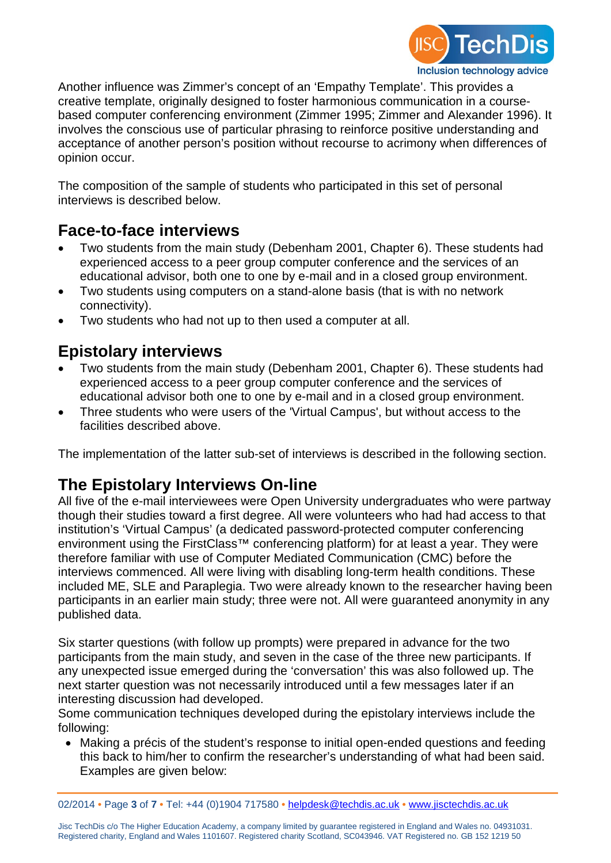

Another influence was Zimmer's concept of an 'Empathy Template'. This provides a creative template, originally designed to foster harmonious communication in a coursebased computer conferencing environment (Zimmer 1995; Zimmer and Alexander 1996). It involves the conscious use of particular phrasing to reinforce positive understanding and acceptance of another person's position without recourse to acrimony when differences of opinion occur.

The composition of the sample of students who participated in this set of personal interviews is described below.

#### **Face-to-face interviews**

- Two students from the main study (Debenham 2001, Chapter 6). These students had experienced access to a peer group computer conference and the services of an educational advisor, both one to one by e-mail and in a closed group environment.
- Two students using computers on a stand-alone basis (that is with no network connectivity).
- Two students who had not up to then used a computer at all.

# **Epistolary interviews**

- Two students from the main study (Debenham 2001, Chapter 6). These students had experienced access to a peer group computer conference and the services of educational advisor both one to one by e-mail and in a closed group environment.
- Three students who were users of the 'Virtual Campus', but without access to the facilities described above.

The implementation of the latter sub-set of interviews is described in the following section.

### **The Epistolary Interviews On-line**

All five of the e-mail interviewees were Open University undergraduates who were partway though their studies toward a first degree. All were volunteers who had had access to that institution's 'Virtual Campus' (a dedicated password-protected computer conferencing environment using the FirstClass™ conferencing platform) for at least a year. They were therefore familiar with use of Computer Mediated Communication (CMC) before the interviews commenced. All were living with disabling long-term health conditions. These included ME, SLE and Paraplegia. Two were already known to the researcher having been participants in an earlier main study; three were not. All were guaranteed anonymity in any published data.

Six starter questions (with follow up prompts) were prepared in advance for the two participants from the main study, and seven in the case of the three new participants. If any unexpected issue emerged during the 'conversation' this was also followed up. The next starter question was not necessarily introduced until a few messages later if an interesting discussion had developed.

Some communication techniques developed during the epistolary interviews include the following:

• Making a précis of the student's response to initial open-ended questions and feeding this back to him/her to confirm the researcher's understanding of what had been said. Examples are given below:

02/2014 **•** Page **3** of **7 •** Tel: +44 (0)1904 717580 **•** [helpdesk@techdis.ac.uk](mailto:helpdesk@techdis.ac.uk) **•** [www.jisctechdis.ac.uk](http://www.jisctechdis.ac.uk/)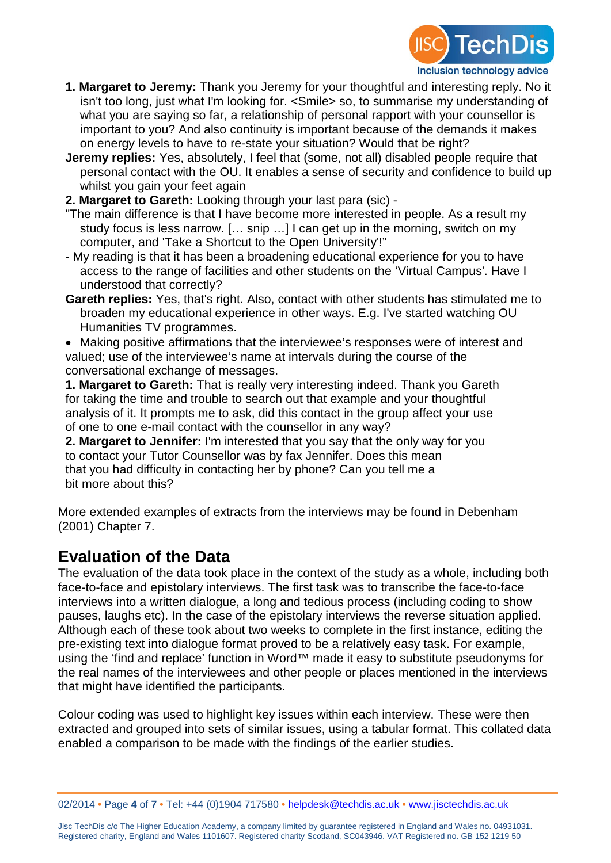

- **1. Margaret to Jeremy:** Thank you Jeremy for your thoughtful and interesting reply. No it isn't too long, just what I'm looking for. <Smile> so, to summarise my understanding of what you are saying so far, a relationship of personal rapport with your counsellor is important to you? And also continuity is important because of the demands it makes on energy levels to have to re-state your situation? Would that be right?
- **Jeremy replies:** Yes, absolutely, I feel that (some, not all) disabled people require that personal contact with the OU. It enables a sense of security and confidence to build up whilst you gain your feet again
- **2. Margaret to Gareth:** Looking through your last para (sic) -
- "The main difference is that I have become more interested in people. As a result my study focus is less narrow. [… snip …] I can get up in the morning, switch on my computer, and 'Take a Shortcut to the Open University'!"
- My reading is that it has been a broadening educational experience for you to have access to the range of facilities and other students on the 'Virtual Campus'. Have I understood that correctly?
- **Gareth replies:** Yes, that's right. Also, contact with other students has stimulated me to broaden my educational experience in other ways. E.g. I've started watching OU Humanities TV programmes.

• Making positive affirmations that the interviewee's responses were of interest and valued; use of the interviewee's name at intervals during the course of the conversational exchange of messages.

**1. Margaret to Gareth:** That is really very interesting indeed. Thank you Gareth for taking the time and trouble to search out that example and your thoughtful analysis of it. It prompts me to ask, did this contact in the group affect your use of one to one e-mail contact with the counsellor in any way?

**2. Margaret to Jennifer:** I'm interested that you say that the only way for you to contact your Tutor Counsellor was by fax Jennifer. Does this mean that you had difficulty in contacting her by phone? Can you tell me a bit more about this?

More extended examples of extracts from the interviews may be found in Debenham (2001) Chapter 7.

### **Evaluation of the Data**

The evaluation of the data took place in the context of the study as a whole, including both face-to-face and epistolary interviews. The first task was to transcribe the face-to-face interviews into a written dialogue, a long and tedious process (including coding to show pauses, laughs etc). In the case of the epistolary interviews the reverse situation applied. Although each of these took about two weeks to complete in the first instance, editing the pre-existing text into dialogue format proved to be a relatively easy task. For example, using the 'find and replace' function in Word™ made it easy to substitute pseudonyms for the real names of the interviewees and other people or places mentioned in the interviews that might have identified the participants.

Colour coding was used to highlight key issues within each interview. These were then extracted and grouped into sets of similar issues, using a tabular format. This collated data enabled a comparison to be made with the findings of the earlier studies.

02/2014 **•** Page **4** of **7 •** Tel: +44 (0)1904 717580 **•** [helpdesk@techdis.ac.uk](mailto:helpdesk@techdis.ac.uk) **•** [www.jisctechdis.ac.uk](http://www.jisctechdis.ac.uk/)

Jisc TechDis c/o The Higher Education Academy, a company limited by guarantee registered in England and Wales no. 04931031. Registered charity, England and Wales 1101607. Registered charity Scotland, SC043946. VAT Registered no. GB 152 1219 50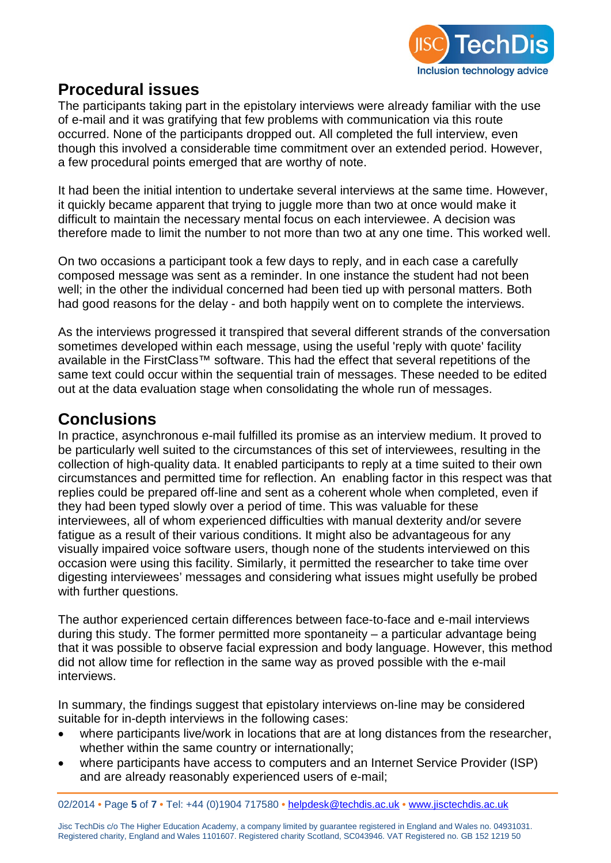

#### **Procedural issues**

The participants taking part in the epistolary interviews were already familiar with the use of e-mail and it was gratifying that few problems with communication via this route occurred. None of the participants dropped out. All completed the full interview, even though this involved a considerable time commitment over an extended period. However, a few procedural points emerged that are worthy of note.

It had been the initial intention to undertake several interviews at the same time. However, it quickly became apparent that trying to juggle more than two at once would make it difficult to maintain the necessary mental focus on each interviewee. A decision was therefore made to limit the number to not more than two at any one time. This worked well.

On two occasions a participant took a few days to reply, and in each case a carefully composed message was sent as a reminder. In one instance the student had not been well; in the other the individual concerned had been tied up with personal matters. Both had good reasons for the delay - and both happily went on to complete the interviews.

As the interviews progressed it transpired that several different strands of the conversation sometimes developed within each message, using the useful 'reply with quote' facility available in the FirstClass<sup>™</sup> software. This had the effect that several repetitions of the same text could occur within the sequential train of messages. These needed to be edited out at the data evaluation stage when consolidating the whole run of messages.

#### **Conclusions**

In practice, asynchronous e-mail fulfilled its promise as an interview medium. It proved to be particularly well suited to the circumstances of this set of interviewees, resulting in the collection of high-quality data. It enabled participants to reply at a time suited to their own circumstances and permitted time for reflection. An enabling factor in this respect was that replies could be prepared off-line and sent as a coherent whole when completed, even if they had been typed slowly over a period of time. This was valuable for these interviewees, all of whom experienced difficulties with manual dexterity and/or severe fatigue as a result of their various conditions. It might also be advantageous for any visually impaired voice software users, though none of the students interviewed on this occasion were using this facility. Similarly, it permitted the researcher to take time over digesting interviewees' messages and considering what issues might usefully be probed with further questions.

The author experienced certain differences between face-to-face and e-mail interviews during this study. The former permitted more spontaneity – a particular advantage being that it was possible to observe facial expression and body language. However, this method did not allow time for reflection in the same way as proved possible with the e-mail interviews.

In summary, the findings suggest that epistolary interviews on-line may be considered suitable for in-depth interviews in the following cases:

- where participants live/work in locations that are at long distances from the researcher, whether within the same country or internationally;
- where participants have access to computers and an Internet Service Provider (ISP) and are already reasonably experienced users of e-mail;

02/2014 **•** Page **5** of **7 •** Tel: +44 (0)1904 717580 **•** [helpdesk@techdis.ac.uk](mailto:helpdesk@techdis.ac.uk) **•** [www.jisctechdis.ac.uk](http://www.jisctechdis.ac.uk/)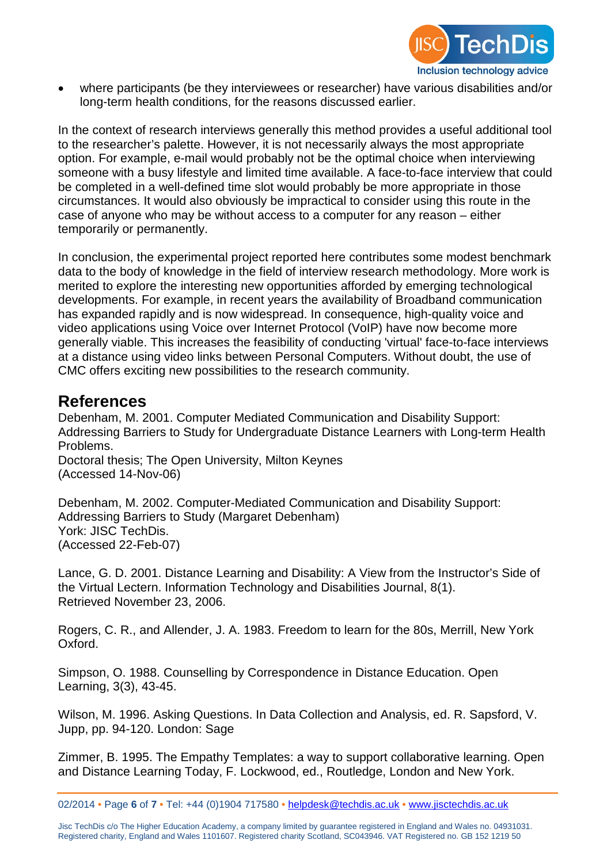

• where participants (be they interviewees or researcher) have various disabilities and/or long-term health conditions, for the reasons discussed earlier.

In the context of research interviews generally this method provides a useful additional tool to the researcher's palette. However, it is not necessarily always the most appropriate option. For example, e-mail would probably not be the optimal choice when interviewing someone with a busy lifestyle and limited time available. A face-to-face interview that could be completed in a well-defined time slot would probably be more appropriate in those circumstances. It would also obviously be impractical to consider using this route in the case of anyone who may be without access to a computer for any reason – either temporarily or permanently.

In conclusion, the experimental project reported here contributes some modest benchmark data to the body of knowledge in the field of interview research methodology. More work is merited to explore the interesting new opportunities afforded by emerging technological developments. For example, in recent years the availability of Broadband communication has expanded rapidly and is now widespread. In consequence, high-quality voice and video applications using Voice over Internet Protocol (VoIP) have now become more generally viable. This increases the feasibility of conducting 'virtual' face-to-face interviews at a distance using video links between Personal Computers. Without doubt, the use of CMC offers exciting new possibilities to the research community.

#### **References**

Debenham, M. 2001. Computer Mediated Communication and Disability Support: Addressing Barriers to Study for Undergraduate Distance Learners with Long-term Health Problems.

Doctoral thesis; The Open University, Milton Keynes (Accessed 14-Nov-06)

Debenham, M. 2002. Computer-Mediated Communication and Disability Support: Addressing Barriers to Study (Margaret Debenham) York: JISC TechDis. (Accessed 22-Feb-07)

Lance, G. D. 2001. Distance Learning and Disability: A View from the Instructor's Side of the Virtual Lectern. Information Technology and Disabilities Journal, 8(1). Retrieved November 23, 2006.

Rogers, C. R., and Allender, J. A. 1983. Freedom to learn for the 80s, Merrill, New York Oxford.

Simpson, O. 1988. Counselling by Correspondence in Distance Education. Open Learning, 3(3), 43-45.

Wilson, M. 1996. Asking Questions. In Data Collection and Analysis, ed. R. Sapsford, V. Jupp, pp. 94-120. London: Sage

Zimmer, B. 1995. The Empathy Templates: a way to support collaborative learning. Open and Distance Learning Today, F. Lockwood, ed., Routledge, London and New York.

<sup>02/2014</sup> **•** Page **6** of **7 •** Tel: +44 (0)1904 717580 **•** [helpdesk@techdis.ac.uk](mailto:helpdesk@techdis.ac.uk) **•** [www.jisctechdis.ac.uk](http://www.jisctechdis.ac.uk/)